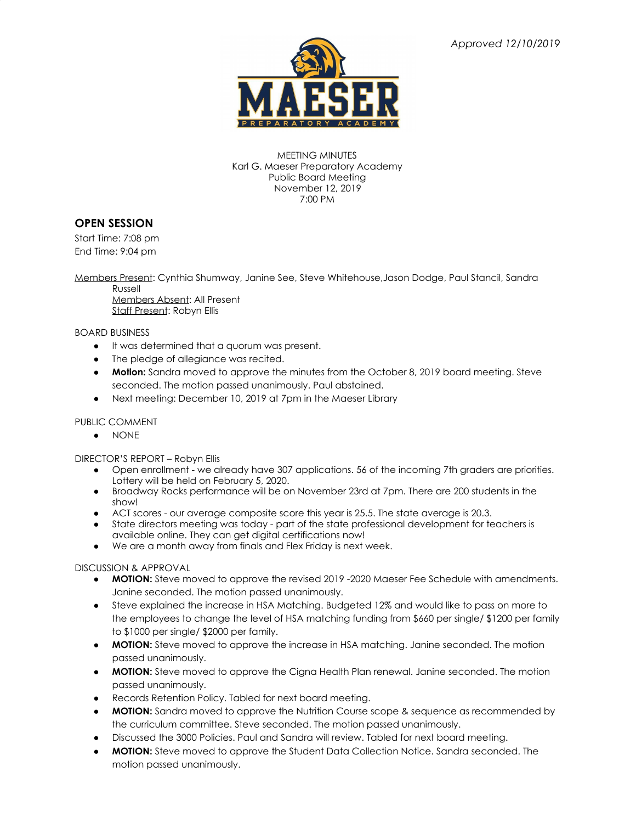

MEETING MINUTES Karl G. Maeser Preparatory Academy Public Board Meeting November 12, 2019 7:00 PM

## **OPEN SESSION**

Start Time: 7:08 pm End Time: 9:04 pm

Members Present: Cynthia Shumway, Janine See, Steve Whitehouse,Jason Dodge, Paul Stancil, Sandra

Russell Members Absent: All Present Staff Present: Robyn Ellis

BOARD BUSINESS

- It was determined that a quorum was present.
- The pledge of allegiance was recited.
- **Motion:** Sandra moved to approve the minutes from the October 8, 2019 board meeting. Steve seconded. The motion passed unanimously. Paul abstained.
- Next meeting: December 10, 2019 at 7pm in the Maeser Library

## PUBLIC COMMENT

● NONE

DIRECTOR'S REPORT – Robyn Ellis

- Open enrollment we already have 307 applications. 56 of the incoming 7th graders are priorities. Lottery will be held on February 5, 2020.
- Broadway Rocks performance will be on November 23rd at 7pm. There are 200 students in the show!
- ACT scores our average composite score this year is 25.5. The state average is 20.3.
- State directors meeting was today part of the state professional development for teachers is available online. They can get digital certifications now!
- We are a month away from finals and Flex Friday is next week.

## DISCUSSION & APPROVAL

- **MOTION:** Steve moved to approve the revised 2019 -2020 Maeser Fee Schedule with amendments. Janine seconded. The motion passed unanimously.
- Steve explained the increase in HSA Matching. Budgeted 12% and would like to pass on more to the employees to change the level of HSA matching funding from \$660 per single/ \$1200 per family to \$1000 per single/ \$2000 per family.
- **MOTION:** Steve moved to approve the increase in HSA matching. Janine seconded. The motion passed unanimously.
- **MOTION:** Steve moved to approve the Cigna Health Plan renewal. Janine seconded. The motion passed unanimously.
- Records Retention Policy. Tabled for next board meeting.
- **MOTION:** Sandra moved to approve the Nutrition Course scope & sequence as recommended by the curriculum committee. Steve seconded. The motion passed unanimously.
- Discussed the 3000 Policies. Paul and Sandra will review. Tabled for next board meeting.
- **MOTION:** Steve moved to approve the Student Data Collection Notice. Sandra seconded. The motion passed unanimously.